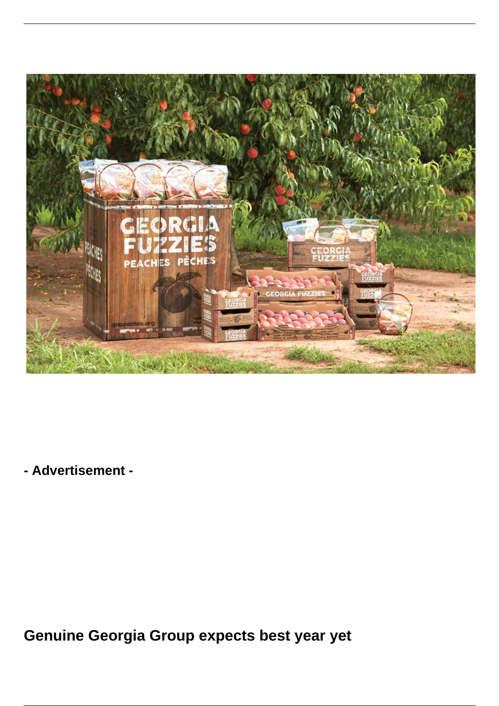

**- Advertisement -**

**Genuine Georgia Group expects best year yet**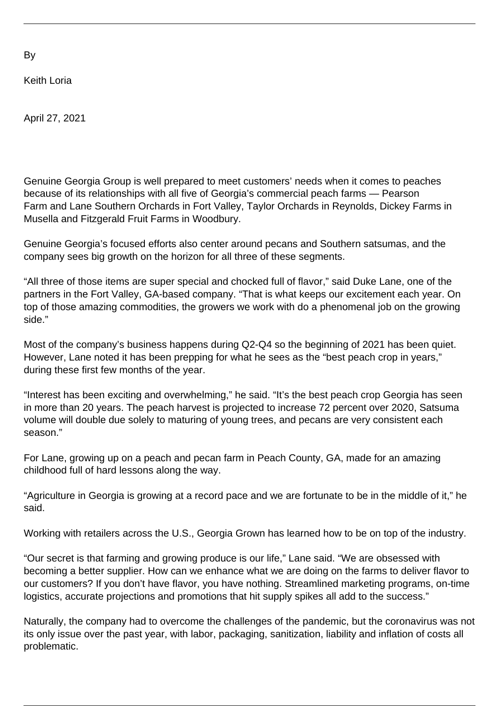By

Keith Loria

April 27, 2021

Genuine Georgia Group is well prepared to meet customers' needs when it comes to peaches because of its relationships with all five of Georgia's commercial peach farms — Pearson Farm and Lane Southern Orchards in Fort Valley, Taylor Orchards in Reynolds, Dickey Farms in Musella and Fitzgerald Fruit Farms in Woodbury.

Genuine Georgia's focused efforts also center around pecans and Southern satsumas, and the company sees big growth on the horizon for all three of these segments.

"All three of those items are super special and chocked full of flavor," said Duke Lane, one of the partners in the Fort Valley, GA-based company. "That is what keeps our excitement each year. On top of those amazing commodities, the growers we work with do a phenomenal job on the growing side."

Most of the company's business happens during Q2-Q4 so the beginning of 2021 has been quiet. However, Lane noted it has been prepping for what he sees as the "best peach crop in years," during these first few months of the year.

"Interest has been exciting and overwhelming," he said. "It's the best peach crop Georgia has seen in more than 20 years. The peach harvest is projected to increase 72 percent over 2020, Satsuma volume will double due solely to maturing of young trees, and pecans are very consistent each season."

For Lane, growing up on a peach and pecan farm in Peach County, GA, made for an amazing childhood full of hard lessons along the way.

"Agriculture in Georgia is growing at a record pace and we are fortunate to be in the middle of it," he said.

Working with retailers across the U.S., Georgia Grown has learned how to be on top of the industry.

"Our secret is that farming and growing produce is our life," Lane said. "We are obsessed with becoming a better supplier. How can we enhance what we are doing on the farms to deliver flavor to our customers? If you don't have flavor, you have nothing. Streamlined marketing programs, on-time logistics, accurate projections and promotions that hit supply spikes all add to the success."

Naturally, the company had to overcome the challenges of the pandemic, but the coronavirus was not its only issue over the past year, with labor, packaging, sanitization, liability and inflation of costs all problematic.